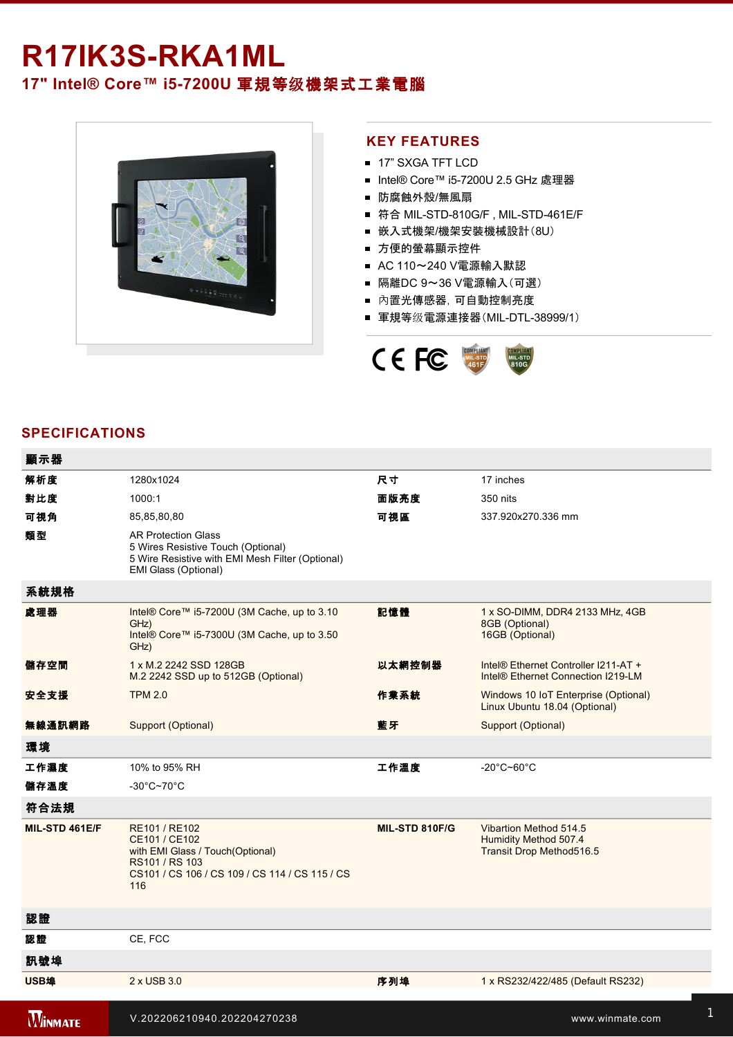## R17IK3S-RKA1ML **17" Intel® Core™ i57200U** 軍規等级機架式工業電腦



## **KEY FEATURES**

- 17" SXGA TFT LCD
- Intel® Core™ i5-7200U 2.5 GHz 處理器
- 防腐蝕外殼/無風扇
- 符合 MIL-STD-810G/F, MIL-STD-461E/F
- 嵌入式機架/機架安裝機械設計(8U)
- 方便的螢幕顯示控件
- AC 110~240 V電源輸入默認
- 隔離DC 9~36 V電源輸入(可選)
- 內置光傳感器,可自動控制亮度
- 軍規等级電源連接器(MIL-DTL-38999/1)



## **SPECIFICATIONS**

| 顯示器            |                                                                                                                                               |                |                                                                             |
|----------------|-----------------------------------------------------------------------------------------------------------------------------------------------|----------------|-----------------------------------------------------------------------------|
| 解析度            | 1280x1024                                                                                                                                     | 尺寸             | 17 inches                                                                   |
| 對比度            | 1000:1                                                                                                                                        | 面版亮度           | 350 nits                                                                    |
| 可視角            | 85,85,80,80                                                                                                                                   | 可視區            | 337.920x270.336 mm                                                          |
| 類型             | <b>AR Protection Glass</b><br>5 Wires Resistive Touch (Optional)<br>5 Wire Resistive with EMI Mesh Filter (Optional)<br>EMI Glass (Optional)  |                |                                                                             |
| 系統規格           |                                                                                                                                               |                |                                                                             |
| 處理器            | Intel® Core™ i5-7200U (3M Cache, up to 3.10<br>GHz)<br>Intel® Core™ i5-7300U (3M Cache, up to 3.50<br>GHz)                                    | 記憶體            | 1 x SO-DIMM, DDR4 2133 MHz, 4GB<br>8GB (Optional)<br>16GB (Optional)        |
| 儲存空間           | 1 x M.2 2242 SSD 128GB<br>M.2 2242 SSD up to 512GB (Optional)                                                                                 | 以太網控制器         | Intel® Ethernet Controller I211-AT +<br>Intel® Ethernet Connection I219-LM  |
| 安全支援           | <b>TPM 2.0</b>                                                                                                                                | 作業系統           | Windows 10 IoT Enterprise (Optional)<br>Linux Ubuntu 18.04 (Optional)       |
| 無線通訊網路         | Support (Optional)                                                                                                                            | 藍牙             | Support (Optional)                                                          |
| 環境             |                                                                                                                                               |                |                                                                             |
| 工作濕度           | 10% to 95% RH                                                                                                                                 | 工作溫度           | $-20^{\circ}$ C~60 $^{\circ}$ C                                             |
| 儲存溫度           | $-30^{\circ}$ C~70 $^{\circ}$ C                                                                                                               |                |                                                                             |
| 符合法規           |                                                                                                                                               |                |                                                                             |
| MIL-STD 461E/F | RE101 / RE102<br>CE101 / CE102<br>with EMI Glass / Touch(Optional)<br>RS101 / RS 103<br>CS101 / CS 106 / CS 109 / CS 114 / CS 115 / CS<br>116 | MIL-STD 810F/G | Vibartion Method 514.5<br>Humidity Method 507.4<br>Transit Drop Method516.5 |
| 認證             |                                                                                                                                               |                |                                                                             |
| 認證             | CE, FCC                                                                                                                                       |                |                                                                             |
| 訊號埠            |                                                                                                                                               |                |                                                                             |
| USB埠           | 2 x USB 3.0                                                                                                                                   | 序列埠            | 1 x RS232/422/485 (Default RS232)                                           |
|                |                                                                                                                                               |                |                                                                             |
| <b>WINMATE</b> | V.202206210940.202204270238                                                                                                                   |                | www.winmate.com                                                             |